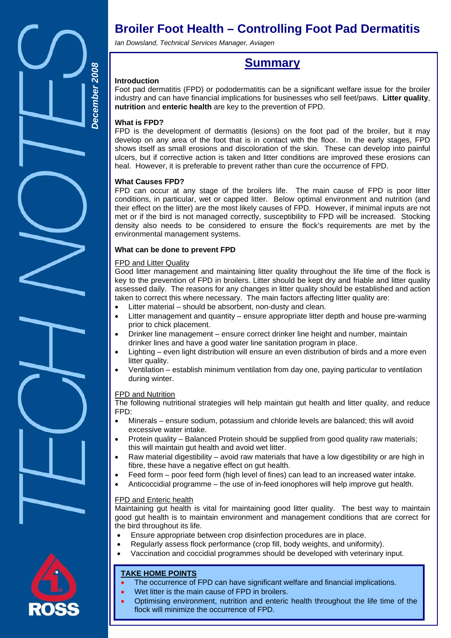

# **Broiler Foot Health – Controlling Foot Pad Dermatitis**

*Ian Dowsland, Technical Services Manager, Aviagen* 

# **Summary**

# **Introduction**

Foot pad dermatitis (FPD) or pododermatitis can be a significant welfare issue for the broiler industry and can have financial implications for businesses who sell feet/paws. **Litter quality**, **nutrition** and **enteric health** are key to the prevention of FPD.

# **What is FPD?**

FPD is the development of dermatitis (lesions) on the foot pad of the broiler, but it may develop on any area of the foot that is in contact with the floor. In the early stages, FPD shows itself as small erosions and discoloration of the skin. These can develop into painful ulcers, but if corrective action is taken and litter conditions are improved these erosions can heal. However, it is preferable to prevent rather than cure the occurrence of FPD.

# **What Causes FPD?**

FPD can occur at any stage of the broilers life. The main cause of FPD is poor litter conditions, in particular, wet or capped litter. Below optimal environment and nutrition (and their effect on the litter) are the most likely causes of FPD. However, if minimal inputs are not met or if the bird is not managed correctly, susceptibility to FPD will be increased. Stocking density also needs to be considered to ensure the flock's requirements are met by the environmental management systems.

# **What can be done to prevent FPD**

# FPD and Litter Quality

Good litter management and maintaining litter quality throughout the life time of the flock is key to the prevention of FPD in broilers. Litter should be kept dry and friable and litter quality assessed daily. The reasons for any changes in litter quality should be established and action taken to correct this where necessary. The main factors affecting litter quality are:

- Litter material should be absorbent, non-dusty and clean.
- Litter management and quantity ensure appropriate litter depth and house pre-warming prior to chick placement.
- Drinker line management ensure correct drinker line height and number, maintain drinker lines and have a good water line sanitation program in place.
- Lighting even light distribution will ensure an even distribution of birds and a more even litter quality.
- Ventilation establish minimum ventilation from day one, paying particular to ventilation during winter.

# FPD and Nutrition

The following nutritional strategies will help maintain gut health and litter quality, and reduce FPD:

- Minerals ensure sodium, potassium and chloride levels are balanced; this will avoid excessive water intake.
- Protein quality Balanced Protein should be supplied from good quality raw materials; this will maintain gut health and avoid wet litter.
- Raw material digestibility avoid raw materials that have a low digestibility or are high in fibre, these have a negative effect on gut health.
- Feed form poor feed form (high level of fines) can lead to an increased water intake.
- Anticoccidial programme the use of in-feed ionophores will help improve gut health.

# FPD and Enteric health

Maintaining gut health is vital for maintaining good litter quality. The best way to maintain good gut health is to maintain environment and management conditions that are correct for the bird throughout its life.

- Ensure appropriate between crop disinfection procedures are in place.
- Regularly assess flock performance (crop fill, body weights, and uniformity).
- Vaccination and coccidial programmes should be developed with veterinary input.

# **TAKE HOME POINTS**

- The occurrence of FPD can have significant welfare and financial implications.
	- Wet litter is the main cause of FPD in broilers.
	- Optimising environment, nutrition and enteric health throughout the life time of the flock will minimize the occurrence of FPD.

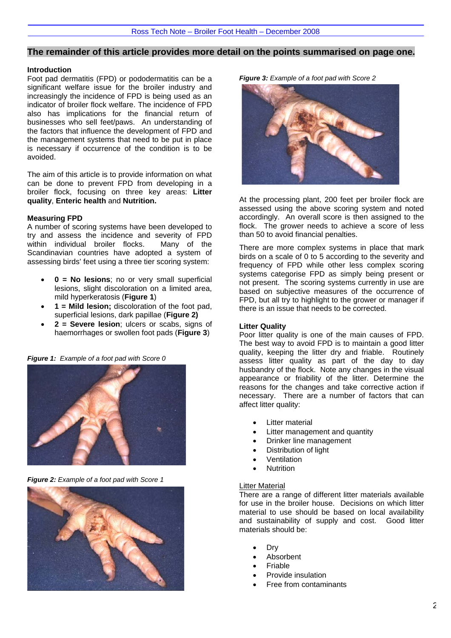## **The remainder of this article provides more detail on the points summarised on page one.**

#### **Introduction**

Foot pad dermatitis (FPD) or pododermatitis can be a significant welfare issue for the broiler industry and increasingly the incidence of FPD is being used as an indicator of broiler flock welfare. The incidence of FPD also has implications for the financial return of businesses who sell feet/paws. An understanding of the factors that influence the development of FPD and the management systems that need to be put in place is necessary if occurrence of the condition is to be avoided.

The aim of this article is to provide information on what can be done to prevent FPD from developing in a broiler flock, focusing on three key areas: **Litter quality**, **Enteric health** and **Nutrition.** 

#### **Measuring FPD**

A number of scoring systems have been developed to try and assess the incidence and severity of FPD within individual broiler flocks. Many of the Scandinavian countries have adopted a system of assessing birds' feet using a three tier scoring system:

- **0 = No lesions**; no or very small superficial lesions, slight discoloration on a limited area, mild hyperkeratosis (**Figure 1**)
- **1 = Mild lesion;** discoloration of the foot pad, superficial lesions, dark papillae (**Figure 2)**
- **2 = Severe lesion**; ulcers or scabs, signs of haemorrhages or swollen foot pads (**Figure 3**)

*Figure 1: Example of a foot pad with Score 0* 



*Figure 2: Example of a foot pad with Score 1* 



*Figure 3: Example of a foot pad with Score 2* 



At the processing plant, 200 feet per broiler flock are assessed using the above scoring system and noted accordingly. An overall score is then assigned to the flock. The grower needs to achieve a score of less than 50 to avoid financial penalties.

There are more complex systems in place that mark birds on a scale of 0 to 5 according to the severity and frequency of FPD while other less complex scoring systems categorise FPD as simply being present or not present. The scoring systems currently in use are based on subjective measures of the occurrence of FPD, but all try to highlight to the grower or manager if there is an issue that needs to be corrected.

#### **Litter Quality**

Poor litter quality is one of the main causes of FPD. The best way to avoid FPD is to maintain a good litter quality, keeping the litter dry and friable. Routinely assess litter quality as part of the day to day husbandry of the flock. Note any changes in the visual appearance or friability of the litter. Determine the reasons for the changes and take corrective action if necessary. There are a number of factors that can affect litter quality:

- **Litter material**
- Litter management and quantity
- Drinker line management
- Distribution of light
- **Ventilation**
- **Nutrition**

#### Litter Material

There are a range of different litter materials available for use in the broiler house. Decisions on which litter material to use should be based on local availability and sustainability of supply and cost. Good litter materials should be:

- Dry
- **Absorbent**
- **Friable**
- Provide insulation
- Free from contaminants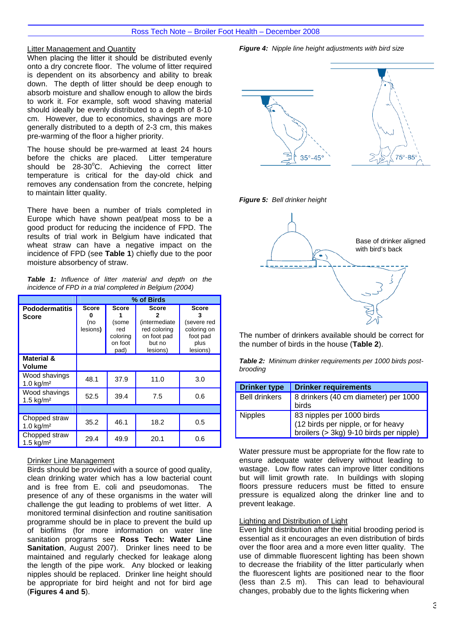## Litter Management and Quantity

When placing the litter it should be distributed evenly onto a dry concrete floor. The volume of litter required is dependent on its absorbency and ability to break down. The depth of litter should be deep enough to absorb moisture and shallow enough to allow the birds to work it. For example, soft wood shaving material should ideally be evenly distributed to a depth of 8-10 cm. However, due to economics, shavings are more generally distributed to a depth of 2-3 cm, this makes pre-warming of the floor a higher priority.

The house should be pre-warmed at least 24 hours<br>before the chicks are placed. Litter temperature before the chicks are placed. should be 28-30°C. Achieving the correct litter temperature is critical for the day-old chick and removes any condensation from the concrete, helping to maintain litter quality.

There have been a number of trials completed in Europe which have shown peat/peat moss to be a good product for reducing the incidence of FPD. The results of trial work in Belgium have indicated that wheat straw can have a negative impact on the incidence of FPD (see **Table 1**) chiefly due to the poor moisture absorbency of straw.

|  | <b>Table 1:</b> Influence of litter material and depth on the |  |  |  |  |
|--|---------------------------------------------------------------|--|--|--|--|
|  | incidence of FPD in a trial completed in Belgium (2004)       |  |  |  |  |

|                                       | % of Birds                      |                                                             |                                                                                    |                                                                            |  |  |  |
|---------------------------------------|---------------------------------|-------------------------------------------------------------|------------------------------------------------------------------------------------|----------------------------------------------------------------------------|--|--|--|
| <b>Pododermatitis</b><br><b>Score</b> | <b>Score</b><br>(no<br>lesions) | <b>Score</b><br>(some<br>red<br>coloring<br>on foot<br>pad) | <b>Score</b><br>(intermediate<br>red coloring<br>on foot pad<br>but no<br>lesions) | <b>Score</b><br>(severe red<br>coloring on<br>foot pad<br>plus<br>lesions) |  |  |  |
| <b>Material &amp;</b><br>Volume       |                                 |                                                             |                                                                                    |                                                                            |  |  |  |
| Wood shavings<br>$1.0 \text{ kg/m}^2$ | 48.1                            | 37.9                                                        | 11.0                                                                               | 3.0                                                                        |  |  |  |
| Wood shavings<br>1.5 $kg/m2$          | 52.5                            | 39.4                                                        | 7.5                                                                                | 0.6                                                                        |  |  |  |
|                                       |                                 |                                                             |                                                                                    |                                                                            |  |  |  |
| Chopped straw<br>1.0 $kg/m2$          | 35.2                            | 46.1                                                        | 18.2                                                                               | 0.5                                                                        |  |  |  |
| Chopped straw<br>1.5 $kg/m2$          | 29.4                            | 49.9                                                        | 20.1                                                                               | 0.6                                                                        |  |  |  |

# Drinker Line Management

Birds should be provided with a source of good quality, clean drinking water which has a low bacterial count and is free from E. coli and pseudomonas. The presence of any of these organisms in the water will challenge the gut leading to problems of wet litter. A monitored terminal disinfection and routine sanitisation programme should be in place to prevent the build up of biofilms (for more information on water line sanitation programs see **Ross Tech: Water Line Sanitation**, August 2007). Drinker lines need to be maintained and regularly checked for leakage along the length of the pipe work. Any blocked or leaking nipples should be replaced. Drinker line height should be appropriate for bird height and not for bird age (**Figures 4 and 5**).

 $35^\circ - 45$ *Figure 5: Bell drinker height*  Base of drinker aligned with bird's back

> The number of drinkers available should be correct for the number of birds in the house (**Table 2**).

> *Table 2: Minimum drinker requirements per 1000 birds postbrooding*

| <b>Drinker type</b>  | <b>Drinker requirements</b>                                                                                |
|----------------------|------------------------------------------------------------------------------------------------------------|
| <b>Bell drinkers</b> | 8 drinkers (40 cm diameter) per 1000<br>birds                                                              |
| <b>Nipples</b>       | 83 nipples per 1000 birds<br>(12 birds per nipple, or for heavy<br>broilers (> 3kg) 9-10 birds per nipple) |

Water pressure must be appropriate for the flow rate to ensure adequate water delivery without leading to wastage. Low flow rates can improve litter conditions but will limit growth rate. In buildings with sloping floors pressure reducers must be fitted to ensure pressure is equalized along the drinker line and to prevent leakage.

#### Lighting and Distribution of Light

Even light distribution after the initial brooding period is essential as it encourages an even distribution of birds over the floor area and a more even litter quality. The use of dimmable fluorescent lighting has been shown to decrease the friability of the litter particularly when the fluorescent lights are positioned near to the floor (less than 2.5 m). This can lead to behavioural changes, probably due to the lights flickering when

*Figure 4: Nipple line height adjustments with bird size*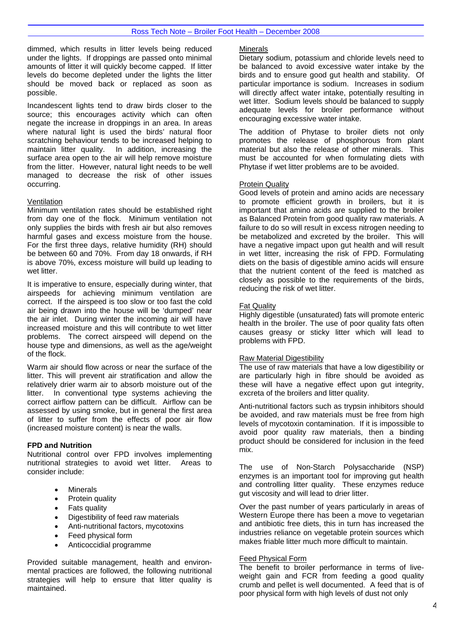dimmed, which results in litter levels being reduced under the lights. If droppings are passed onto minimal amounts of litter it will quickly become capped. If litter levels do become depleted under the lights the litter should be moved back or replaced as soon as possible.

Incandescent lights tend to draw birds closer to the source; this encourages activity which can often negate the increase in droppings in an area. In areas where natural light is used the birds' natural floor scratching behaviour tends to be increased helping to maintain litter quality. In addition, increasing the surface area open to the air will help remove moisture from the litter. However, natural light needs to be well managed to decrease the risk of other issues occurring.

## **Ventilation**

Minimum ventilation rates should be established right from day one of the flock. Minimum ventilation not only supplies the birds with fresh air but also removes harmful gases and excess moisture from the house. For the first three days, relative humidity (RH) should be between 60 and 70%. From day 18 onwards, if RH is above 70%, excess moisture will build up leading to wet litter.

It is imperative to ensure, especially during winter, that airspeeds for achieving minimum ventilation are correct. If the airspeed is too slow or too fast the cold air being drawn into the house will be 'dumped' near the air inlet. During winter the incoming air will have increased moisture and this will contribute to wet litter problems. The correct airspeed will depend on the house type and dimensions, as well as the age/weight of the flock.

Warm air should flow across or near the surface of the litter. This will prevent air stratification and allow the relatively drier warm air to absorb moisture out of the litter. In conventional type systems achieving the correct airflow pattern can be difficult. Airflow can be assessed by using smoke, but in general the first area of litter to suffer from the effects of poor air flow (increased moisture content) is near the walls.

#### **FPD and Nutrition**

Nutritional control over FPD involves implementing nutritional strategies to avoid wet litter. Areas to consider include:

- **Minerals**
- Protein quality
- Fats quality
- Digestibility of feed raw materials
- Anti-nutritional factors, mycotoxins
- Feed physical form
- Anticoccidial programme

Provided suitable management, health and environmental practices are followed, the following nutritional strategies will help to ensure that litter quality is maintained.

#### **Minerals**

Dietary sodium, potassium and chloride levels need to be balanced to avoid excessive water intake by the birds and to ensure good gut health and stability. Of particular importance is sodium. Increases in sodium will directly affect water intake, potentially resulting in wet litter. Sodium levels should be balanced to supply adequate levels for broiler performance without encouraging excessive water intake.

The addition of Phytase to broiler diets not only promotes the release of phosphorous from plant material but also the release of other minerals. This must be accounted for when formulating diets with Phytase if wet litter problems are to be avoided.

#### Protein Quality

Good levels of protein and amino acids are necessary to promote efficient growth in broilers, but it is important that amino acids are supplied to the broiler as Balanced Protein from good quality raw materials. A failure to do so will result in excess nitrogen needing to be metabolized and excreted by the broiler. This will have a negative impact upon gut health and will result in wet litter, increasing the risk of FPD. Formulating diets on the basis of digestible amino acids will ensure that the nutrient content of the feed is matched as closely as possible to the requirements of the birds, reducing the risk of wet litter.

#### Fat Quality

Highly digestible (unsaturated) fats will promote enteric health in the broiler. The use of poor quality fats often causes greasy or sticky litter which will lead to problems with FPD.

# Raw Material Digestibility

The use of raw materials that have a low digestibility or are particularly high in fibre should be avoided as these will have a negative effect upon gut integrity, excreta of the broilers and litter quality.

Anti-nutritional factors such as trypsin inhibitors should be avoided, and raw materials must be free from high levels of mycotoxin contamination. If it is impossible to avoid poor quality raw materials, then a binding product should be considered for inclusion in the feed mix.

The use of Non-Starch Polysaccharide (NSP) enzymes is an important tool for improving gut health and controlling litter quality. These enzymes reduce gut viscosity and will lead to drier litter.

Over the past number of years particularly in areas of Western Europe there has been a move to vegetarian and antibiotic free diets, this in turn has increased the industries reliance on vegetable protein sources which makes friable litter much more difficult to maintain.

#### Feed Physical Form

The benefit to broiler performance in terms of liveweight gain and FCR from feeding a good quality crumb and pellet is well documented. A feed that is of poor physical form with high levels of dust not only